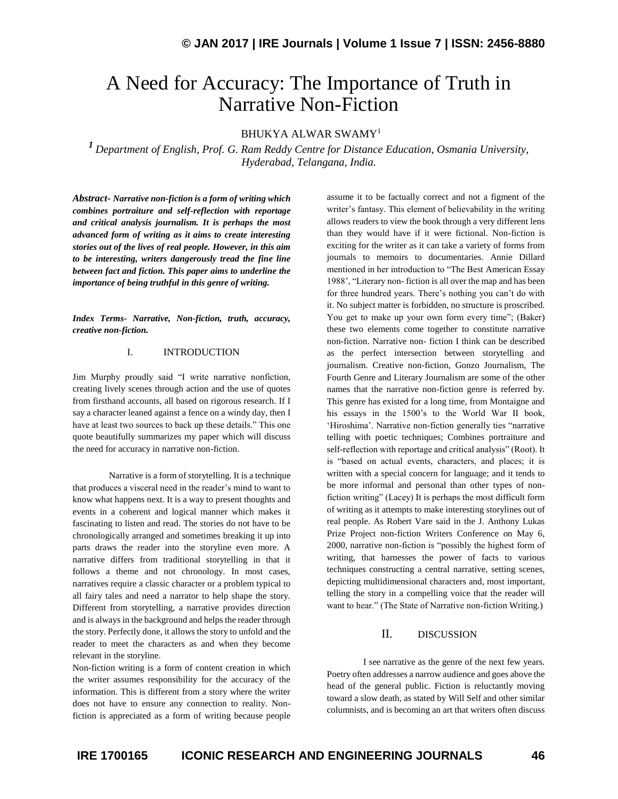# A Need for Accuracy: The Importance of Truth in Narrative Non-Fiction

### BHUKYA ALWAR SWAMY<sup>1</sup>

*<sup>1</sup>Department of English, [Prof. G. Ram Reddy Centre for Distance Education,](http://www.oucde.net/) Osmania University, Hyderabad, Telangana, India.*

*Abstract***-** *Narrative non-fiction is a form of writing which combines portraiture and self-reflection with reportage and critical analysis journalism. It is perhaps the most advanced form of writing as it aims to create interesting stories out of the lives of real people. However, in this aim to be interesting, writers dangerously tread the fine line between fact and fiction. This paper aims to underline the importance of being truthful in this genre of writing.*

*Index Terms- Narrative, Non-fiction, truth, accuracy, creative non-fiction.*

#### I. INTRODUCTION

Jim Murphy proudly said "I write narrative nonfiction, creating lively scenes through action and the use of quotes from firsthand accounts, all based on rigorous research. If I say a character leaned against a fence on a windy day, then I have at least two sources to back up these details." This one quote beautifully summarizes my paper which will discuss the need for accuracy in narrative non-fiction.

Narrative is a form of storytelling. It is a technique that produces a visceral need in the reader's mind to want to know what happens next. It is a way to present thoughts and events in a coherent and logical manner which makes it fascinating to listen and read. The stories do not have to be chronologically arranged and sometimes breaking it up into parts draws the reader into the storyline even more. A narrative differs from traditional storytelling in that it follows a theme and not chronology. In most cases, narratives require a classic character or a problem typical to all fairy tales and need a narrator to help shape the story. Different from storytelling, a narrative provides direction and is always in the background and helps the reader through the story. Perfectly done, it allows the story to unfold and the reader to meet the characters as and when they become relevant in the storyline.

Non-fiction writing is a form of content creation in which the writer assumes responsibility for the accuracy of the information. This is different from a story where the writer does not have to ensure any connection to reality. Nonfiction is appreciated as a form of writing because people

assume it to be factually correct and not a figment of the writer's fantasy. This element of believability in the writing allows readers to view the book through a very different lens than they would have if it were fictional. Non-fiction is exciting for the writer as it can take a variety of forms from journals to memoirs to documentaries. Annie Dillard mentioned in her introduction to "The Best American Essay 1988', "Literary non- fiction is all over the map and has been for three hundred years. There's nothing you can't do with it. No subject matter is forbidden, no structure is proscribed. You get to make up your own form every time"; (Baker) these two elements come together to constitute narrative non-fiction. Narrative non- fiction I think can be described as the perfect intersection between storytelling and journalism. Creative non-fiction, Gonzo Journalism, The Fourth Genre and Literary Journalism are some of the other names that the narrative non-fiction genre is referred by. This genre has existed for a long time, from Montaigne and his essays in the 1500's to the World War II book, 'Hiroshima'. Narrative non-fiction generally ties "narrative telling with poetic techniques; Combines portraiture and self-reflection with reportage and critical analysis" (Root). It is "based on actual events, characters, and places; it is written with a special concern for language; and it tends to be more informal and personal than other types of nonfiction writing" (Lacey) It is perhaps the most difficult form of writing as it attempts to make interesting storylines out of real people. As Robert Vare said in the J. Anthony Lukas Prize Project non-fiction Writers Conference on May 6, 2000, narrative non-fiction is "possibly the highest form of writing, that harnesses the power of facts to various techniques constructing a central narrative, setting scenes, depicting multidimensional characters and, most important, telling the story in a compelling voice that the reader will want to hear." (The State of Narrative non-fiction Writing.)

#### II. DISCUSSION

I see narrative as the genre of the next few years. Poetry often addresses a narrow audience and goes above the head of the general public. Fiction is reluctantly moving toward a slow death, as stated by Will Self and other similar columnists, and is becoming an art that writers often discuss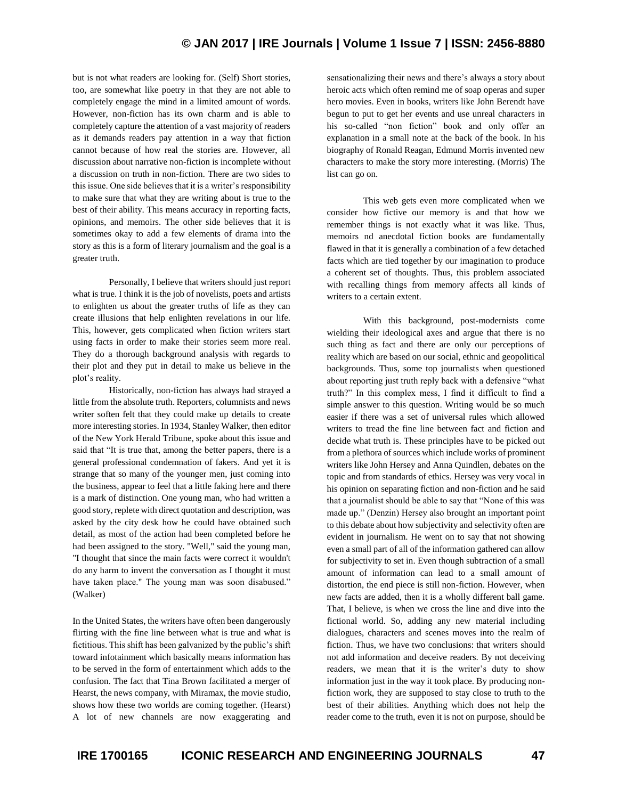## **© JAN 2017 | IRE Journals | Volume 1 Issue 7 | ISSN: 2456-8880**

but is not what readers are looking for. (Self) Short stories, too, are somewhat like poetry in that they are not able to completely engage the mind in a limited amount of words. However, non-fiction has its own charm and is able to completely capture the attention of a vast majority of readers as it demands readers pay attention in a way that fiction cannot because of how real the stories are. However, all discussion about narrative non-fiction is incomplete without a discussion on truth in non-fiction. There are two sides to this issue. One side believes that it is a writer's responsibility to make sure that what they are writing about is true to the best of their ability. This means accuracy in reporting facts, opinions, and memoirs. The other side believes that it is sometimes okay to add a few elements of drama into the story as this is a form of literary journalism and the goal is a greater truth.

Personally, I believe that writers should just report what is true. I think it is the job of novelists, poets and artists to enlighten us about the greater truths of life as they can create illusions that help enlighten revelations in our life. This, however, gets complicated when fiction writers start using facts in order to make their stories seem more real. They do a thorough background analysis with regards to their plot and they put in detail to make us believe in the plot's reality.

Historically, non-fiction has always had strayed a little from the absolute truth. Reporters, columnists and news writer soften felt that they could make up details to create more interesting stories. In 1934, Stanley Walker, then editor of the New York Herald Tribune, spoke about this issue and said that "It is true that, among the better papers, there is a general professional condemnation of fakers. And yet it is strange that so many of the younger men, just coming into the business, appear to feel that a little faking here and there is a mark of distinction. One young man, who had written a good story, replete with direct quotation and description, was asked by the city desk how he could have obtained such detail, as most of the action had been completed before he had been assigned to the story. "Well," said the young man, "I thought that since the main facts were correct it wouldn't do any harm to invent the conversation as I thought it must have taken place." The young man was soon disabused." (Walker)

In the United States, the writers have often been dangerously flirting with the fine line between what is true and what is fictitious. This shift has been galvanized by the public's shift toward infotainment which basically means information has to be served in the form of entertainment which adds to the confusion. The fact that Tina Brown facilitated a merger of Hearst, the news company, with Miramax, the movie studio, shows how these two worlds are coming together. (Hearst) A lot of new channels are now exaggerating and

sensationalizing their news and there's always a story about heroic acts which often remind me of soap operas and super hero movies. Even in books, writers like John Berendt have begun to put to get her events and use unreal characters in his so-called "non fiction" book and only offer an explanation in a small note at the back of the book. In his biography of Ronald Reagan, Edmund Morris invented new characters to make the story more interesting. (Morris) The list can go on.

This web gets even more complicated when we consider how fictive our memory is and that how we remember things is not exactly what it was like. Thus, memoirs nd anecdotal fiction books are fundamentally flawed in that it is generally a combination of a few detached facts which are tied together by our imagination to produce a coherent set of thoughts. Thus, this problem associated with recalling things from memory affects all kinds of writers to a certain extent.

With this background, post-modernists come wielding their ideological axes and argue that there is no such thing as fact and there are only our perceptions of reality which are based on our social, ethnic and geopolitical backgrounds. Thus, some top journalists when questioned about reporting just truth reply back with a defensive "what truth?" In this complex mess, I find it difficult to find a simple answer to this question. Writing would be so much easier if there was a set of universal rules which allowed writers to tread the fine line between fact and fiction and decide what truth is. These principles have to be picked out from a plethora of sources which include works of prominent writers like John Hersey and Anna Quindlen, debates on the topic and from standards of ethics. Hersey was very vocal in his opinion on separating fiction and non-fiction and he said that a journalist should be able to say that "None of this was made up." (Denzin) Hersey also brought an important point to this debate about how subjectivity and selectivity often are evident in journalism. He went on to say that not showing even a small part of all of the information gathered can allow for subjectivity to set in. Even though subtraction of a small amount of information can lead to a small amount of distortion, the end piece is still non-fiction. However, when new facts are added, then it is a wholly different ball game. That, I believe, is when we cross the line and dive into the fictional world. So, adding any new material including dialogues, characters and scenes moves into the realm of fiction. Thus, we have two conclusions: that writers should not add information and deceive readers. By not deceiving readers, we mean that it is the writer's duty to show information just in the way it took place. By producing nonfiction work, they are supposed to stay close to truth to the best of their abilities. Anything which does not help the reader come to the truth, even it is not on purpose, should be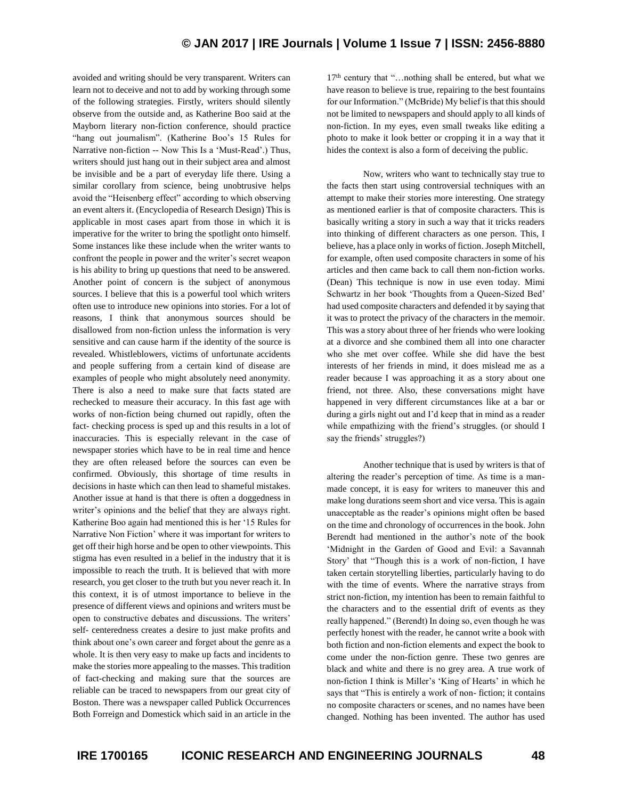## **© JAN 2017 | IRE Journals | Volume 1 Issue 7 | ISSN: 2456-8880**

avoided and writing should be very transparent. Writers can learn not to deceive and not to add by working through some of the following strategies. Firstly, writers should silently observe from the outside and, as Katherine Boo said at the Mayborn literary non-fiction conference, should practice "hang out journalism". (Katherine Boo's 15 Rules for Narrative non-fiction -- Now This Is a 'Must-Read'.) Thus, writers should just hang out in their subject area and almost be invisible and be a part of everyday life there. Using a similar corollary from science, being unobtrusive helps avoid the "Heisenberg effect" according to which observing an event alters it. (Encyclopedia of Research Design) This is applicable in most cases apart from those in which it is imperative for the writer to bring the spotlight onto himself. Some instances like these include when the writer wants to confront the people in power and the writer's secret weapon is his ability to bring up questions that need to be answered. Another point of concern is the subject of anonymous sources. I believe that this is a powerful tool which writers often use to introduce new opinions into stories. For a lot of reasons, I think that anonymous sources should be disallowed from non-fiction unless the information is very sensitive and can cause harm if the identity of the source is revealed. Whistleblowers, victims of unfortunate accidents and people suffering from a certain kind of disease are examples of people who might absolutely need anonymity. There is also a need to make sure that facts stated are rechecked to measure their accuracy. In this fast age with works of non-fiction being churned out rapidly, often the fact- checking process is sped up and this results in a lot of inaccuracies. This is especially relevant in the case of newspaper stories which have to be in real time and hence they are often released before the sources can even be confirmed. Obviously, this shortage of time results in decisions in haste which can then lead to shameful mistakes. Another issue at hand is that there is often a doggedness in writer's opinions and the belief that they are always right. Katherine Boo again had mentioned this is her '15 Rules for Narrative Non Fiction' where it was important for writers to get off their high horse and be open to other viewpoints. This stigma has even resulted in a belief in the industry that it is impossible to reach the truth. It is believed that with more research, you get closer to the truth but you never reach it. In this context, it is of utmost importance to believe in the presence of different views and opinions and writers must be open to constructive debates and discussions. The writers' self- centeredness creates a desire to just make profits and think about one's own career and forget about the genre as a whole. It is then very easy to make up facts and incidents to make the stories more appealing to the masses. This tradition of fact-checking and making sure that the sources are reliable can be traced to newspapers from our great city of Boston. There was a newspaper called Publick Occurrences Both Forreign and Domestick which said in an article in the

17<sup>th</sup> century that "...nothing shall be entered, but what we have reason to believe is true, repairing to the best fountains for our Information." (McBride) My belief is that this should not be limited to newspapers and should apply to all kinds of non-fiction. In my eyes, even small tweaks like editing a photo to make it look better or cropping it in a way that it hides the context is also a form of deceiving the public.

Now, writers who want to technically stay true to the facts then start using controversial techniques with an attempt to make their stories more interesting. One strategy as mentioned earlier is that of composite characters. This is basically writing a story in such a way that it tricks readers into thinking of different characters as one person. This, I believe, has a place only in works of fiction. Joseph Mitchell, for example, often used composite characters in some of his articles and then came back to call them non-fiction works. (Dean) This technique is now in use even today. Mimi Schwartz in her book 'Thoughts from a Queen-Sized Bed' had used composite characters and defended it by saying that it was to protect the privacy of the characters in the memoir. This was a story about three of her friends who were looking at a divorce and she combined them all into one character who she met over coffee. While she did have the best interests of her friends in mind, it does mislead me as a reader because I was approaching it as a story about one friend, not three. Also, these conversations might have happened in very different circumstances like at a bar or during a girls night out and I'd keep that in mind as a reader while empathizing with the friend's struggles. (or should I say the friends' struggles?)

Another technique that is used by writers is that of altering the reader's perception of time. As time is a manmade concept, it is easy for writers to maneuver this and make long durations seem short and vice versa. This is again unacceptable as the reader's opinions might often be based on the time and chronology of occurrences in the book. John Berendt had mentioned in the author's note of the book 'Midnight in the Garden of Good and Evil: a Savannah Story' that "Though this is a work of non-fiction, I have taken certain storytelling liberties, particularly having to do with the time of events. Where the narrative strays from strict non-fiction, my intention has been to remain faithful to the characters and to the essential drift of events as they really happened." (Berendt) In doing so, even though he was perfectly honest with the reader, he cannot write a book with both fiction and non-fiction elements and expect the book to come under the non-fiction genre. These two genres are black and white and there is no grey area. A true work of non-fiction I think is Miller's 'King of Hearts' in which he says that "This is entirely a work of non- fiction; it contains no composite characters or scenes, and no names have been changed. Nothing has been invented. The author has used